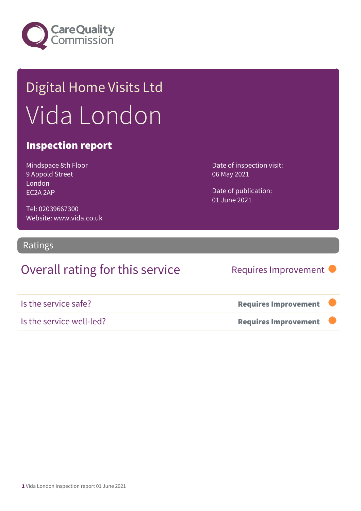

## Digital Home Visits Ltd Vida London

#### Inspection report

Mindspace 8th Floor 9 Appold Street London EC2A 2AP

Date of inspection visit: 06 May 2021

Date of publication: 01 June 2021

Tel: 02039667300 Website: www.vida.co.uk

#### Ratings

## Overall rating for this service Requires Improvement

| Is the service safe?     | <b>Requires Improvement</b> |  |
|--------------------------|-----------------------------|--|
| Is the service well-led? | <b>Requires Improvement</b> |  |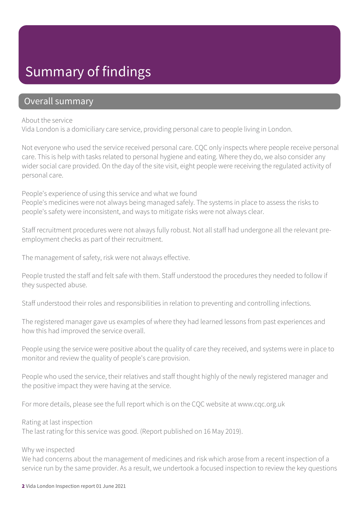## Summary of findings

#### Overall summary

#### About the service

Vida London is a domiciliary care service, providing personal care to people living in London.

Not everyone who used the service received personal care. CQC only inspects where people receive personal care. This is help with tasks related to personal hygiene and eating. Where they do, we also consider any wider social care provided. On the day of the site visit, eight people were receiving the regulated activity of personal care.

People's experience of using this service and what we found People's medicines were not always being managed safely. The systems in place to assess the risks to people's safety were inconsistent, and ways to mitigate risks were not always clear.

Staff recruitment procedures were not always fully robust. Not all staff had undergone all the relevant preemployment checks as part of their recruitment.

The management of safety, risk were not always effective.

People trusted the staff and felt safe with them. Staff understood the procedures they needed to follow if they suspected abuse.

Staff understood their roles and responsibilities in relation to preventing and controlling infections.

The registered manager gave us examples of where they had learned lessons from past experiences and how this had improved the service overall.

People using the service were positive about the quality of care they received, and systems were in place to monitor and review the quality of people's care provision.

People who used the service, their relatives and staff thought highly of the newly registered manager and the positive impact they were having at the service.

For more details, please see the full report which is on the CQC website at www.cqc.org.uk

Rating at last inspection

The last rating for this service was good. (Report published on 16 May 2019).

#### Why we inspected

We had concerns about the management of medicines and risk which arose from a recent inspection of a service run by the same provider. As a result, we undertook a focused inspection to review the key questions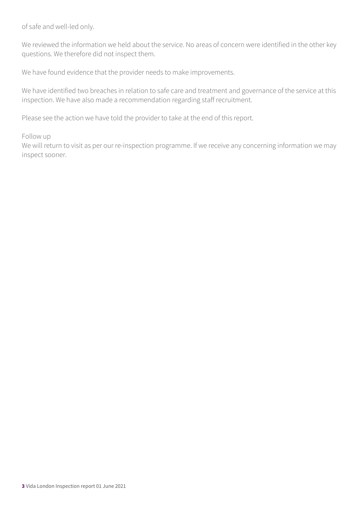of safe and well-led only.

We reviewed the information we held about the service. No areas of concern were identified in the other key questions. We therefore did not inspect them.

We have found evidence that the provider needs to make improvements.

We have identified two breaches in relation to safe care and treatment and governance of the service at this inspection. We have also made a recommendation regarding staff recruitment.

Please see the action we have told the provider to take at the end of this report.

#### Follow up

We will return to visit as per our re-inspection programme. If we receive any concerning information we may inspect sooner.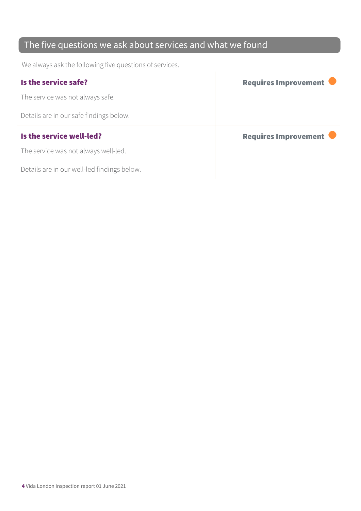## The five questions we ask about services and what we found

We always ask the following five questions of services.

| Is the service safe?                    | Requires Improvement |
|-----------------------------------------|----------------------|
| The service was not always safe.        |                      |
| Details are in our safe findings below. |                      |
|                                         |                      |
| Is the service well-led?                | Requires Improvement |
| The service was not always well-led.    |                      |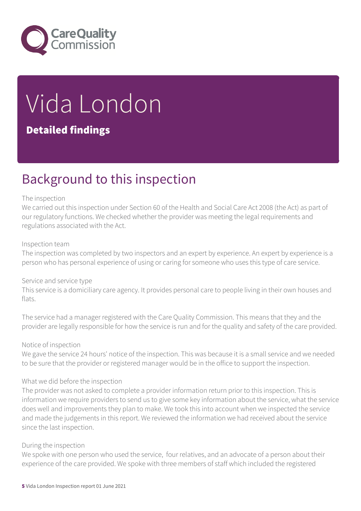

# Vida London

### Detailed findings

## Background to this inspection

#### The inspection

We carried out this inspection under Section 60 of the Health and Social Care Act 2008 (the Act) as part of our regulatory functions. We checked whether the provider was meeting the legal requirements and regulations associated with the Act.

#### Inspection team

The inspection was completed by two inspectors and an expert by experience. An expert by experience is a person who has personal experience of using or caring for someone who uses this type of care service.

#### Service and service type

This service is a domiciliary care agency. It provides personal care to people living in their own houses and flats.

The service had a manager registered with the Care Quality Commission. This means that they and the provider are legally responsible for how the service is run and for the quality and safety of the care provided.

#### Notice of inspection

We gave the service 24 hours' notice of the inspection. This was because it is a small service and we needed to be sure that the provider or registered manager would be in the office to support the inspection.

#### What we did before the inspection

The provider was not asked to complete a provider information return prior to this inspection. This is information we require providers to send us to give some key information about the service, what the service does well and improvements they plan to make. We took this into account when we inspected the service and made the judgements in this report. We reviewed the information we had received about the service since the last inspection.

#### During the inspection

We spoke with one person who used the service, four relatives, and an advocate of a person about their experience of the care provided. We spoke with three members of staff which included the registered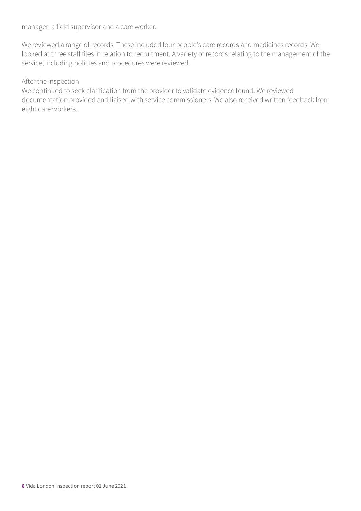manager, a field supervisor and a care worker.

We reviewed a range of records. These included four people's care records and medicines records. We looked at three staff files in relation to recruitment. A variety of records relating to the management of the service, including policies and procedures were reviewed.

#### After the inspection

We continued to seek clarification from the provider to validate evidence found. We reviewed documentation provided and liaised with service commissioners. We also received written feedback from eight care workers.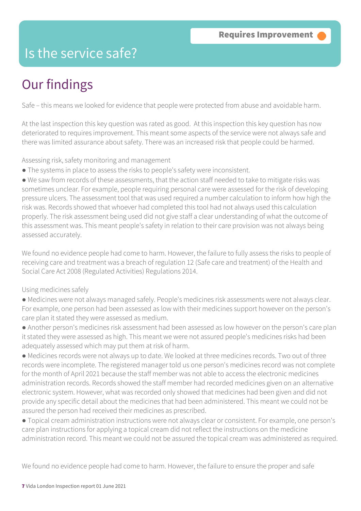## Is the service safe?

## Our findings

Safe – this means we looked for evidence that people were protected from abuse and avoidable harm.

At the last inspection this key question was rated as good. At this inspection this key question has now deteriorated to requires improvement. This meant some aspects of the service were not always safe and there was limited assurance about safety. There was an increased risk that people could be harmed.

Assessing risk, safety monitoring and management

● The systems in place to assess the risks to people's safety were inconsistent.

● We saw from records of these assessments, that the action staff needed to take to mitigate risks was sometimes unclear. For example, people requiring personal care were assessed for the risk of developing pressure ulcers. The assessment tool that was used required a number calculation to inform how high the risk was. Records showed that whoever had completed this tool had not always used this calculation properly. The risk assessment being used did not give staff a clear understanding of what the outcome of this assessment was. This meant people's safety in relation to their care provision was not always being assessed accurately.

We found no evidence people had come to harm. However, the failure to fully assess the risks to people of receiving care and treatment was a breach of regulation 12 (Safe care and treatment) of the Health and Social Care Act 2008 (Regulated Activities) Regulations 2014.

#### Using medicines safely

- Medicines were not always managed safely. People's medicines risk assessments were not always clear. For example, one person had been assessed as low with their medicines support however on the person's care plan it stated they were assessed as medium.
- Another person's medicines risk assessment had been assessed as low however on the person's care plan it stated they were assessed as high. This meant we were not assured people's medicines risks had been adequately assessed which may put them at risk of harm.
- Medicines records were not always up to date. We looked at three medicines records. Two out of three records were incomplete. The registered manager told us one person's medicines record was not complete for the month of April 2021 because the staff member was not able to access the electronic medicines administration records. Records showed the staff member had recorded medicines given on an alternative electronic system. However, what was recorded only showed that medicines had been given and did not provide any specific detail about the medicines that had been administered. This meant we could not be assured the person had received their medicines as prescribed.
- Topical cream administration instructions were not always clear or consistent. For example, one person's care plan instructions for applying a topical cream did not reflect the instructions on the medicine administration record. This meant we could not be assured the topical cream was administered as required.

We found no evidence people had come to harm. However, the failure to ensure the proper and safe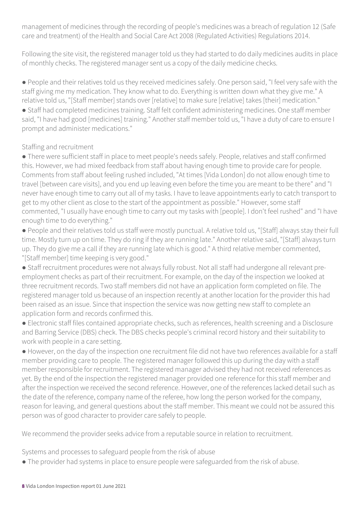management of medicines through the recording of people's medicines was a breach of regulation 12 (Safe care and treatment) of the Health and Social Care Act 2008 (Regulated Activities) Regulations 2014.

Following the site visit, the registered manager told us they had started to do daily medicines audits in place of monthly checks. The registered manager sent us a copy of the daily medicine checks.

● People and their relatives told us they received medicines safely. One person said, "I feel very safe with the staff giving me my medication. They know what to do. Everything is written down what they give me." A relative told us, "[Staff member] stands over [relative] to make sure [relative] takes [their] medication."

● Staff had completed medicines training. Staff felt confident administering medicines. One staff member said, "I have had good [medicines] training." Another staff member told us, "I have a duty of care to ensure I prompt and administer medications."

#### Staffing and recruitment

● There were sufficient staff in place to meet people's needs safely. People, relatives and staff confirmed this. However, we had mixed feedback from staff about having enough time to provide care for people. Comments from staff about feeling rushed included, "At times [Vida London] do not allow enough time to travel [between care visits], and you end up leaving even before the time you are meant to be there" and "I never have enough time to carry out all of my tasks. I have to leave appointments early to catch transport to get to my other client as close to the start of the appointment as possible." However, some staff commented, "I usually have enough time to carry out my tasks with [people]. I don't feel rushed" and "I have enough time to do everything."

● People and their relatives told us staff were mostly punctual. A relative told us, "[Staff] always stay their full time. Mostly turn up on time. They do ring if they are running late." Another relative said, "[Staff] always turn up. They do give me a call if they are running late which is good." A third relative member commented, "[Staff member] time keeping is very good."

● Staff recruitment procedures were not always fully robust. Not all staff had undergone all relevant preemployment checks as part of their recruitment. For example, on the day of the inspection we looked at three recruitment records. Two staff members did not have an application form completed on file. The registered manager told us because of an inspection recently at another location for the provider this had been raised as an issue. Since that inspection the service was now getting new staff to complete an application form and records confirmed this.

● Electronic staff files contained appropriate checks, such as references, health screening and a Disclosure and Barring Service (DBS) check. The DBS checks people's criminal record history and their suitability to work with people in a care setting.

● However, on the day of the inspection one recruitment file did not have two references available for a staff member providing care to people. The registered manager followed this up during the day with a staff member responsible for recruitment. The registered manager advised they had not received references as yet. By the end of the inspection the registered manager provided one reference for this staff member and after the inspection we received the second reference. However, one of the references lacked detail such as the date of the reference, company name of the referee, how long the person worked for the company, reason for leaving, and general questions about the staff member. This meant we could not be assured this person was of good character to provider care safely to people.

We recommend the provider seeks advice from a reputable source in relation to recruitment.

Systems and processes to safeguard people from the risk of abuse

● The provider had systems in place to ensure people were safeguarded from the risk of abuse.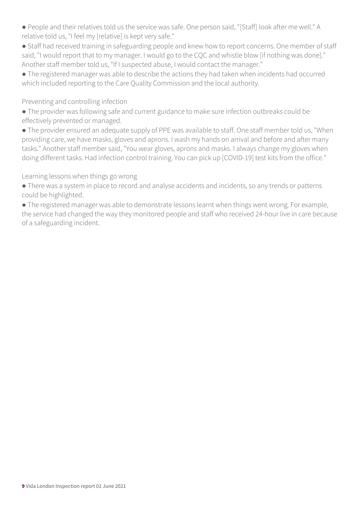- People and their relatives told us the service was safe. One person said, "[Staff] look after me well." A relative told us, "I feel my [relative] is kept very safe."
- Staff had received training in safeguarding people and knew how to report concerns. One member of staff said, "I would report that to my manager. I would go to the CQC and whistle blow [if nothing was done]." Another staff member told us, "If I suspected abuse, I would contact the manager."
- The registered manager was able to describe the actions they had taken when incidents had occurred which included reporting to the Care Quality Commission and the local authority.

#### Preventing and controlling infection

- The provider was following safe and current guidance to make sure infection outbreaks could be effectively prevented or managed.
- The provider ensured an adequate supply of PPE was available to staff. One staff member told us, "When providing care, we have masks, gloves and aprons. I wash my hands on arrival and before and after many tasks." Another staff member said, "You wear gloves, aprons and masks. I always change my gloves when doing different tasks. Had infection control training. You can pick up [COVID-19] test kits from the office."

#### Learning lessons when things go wrong

- There was a system in place to record and analyse accidents and incidents, so any trends or patterns could be highlighted.
- The registered manager was able to demonstrate lessons learnt when things went wrong. For example, the service had changed the way they monitored people and staff who received 24-hour live in care because of a safeguarding incident.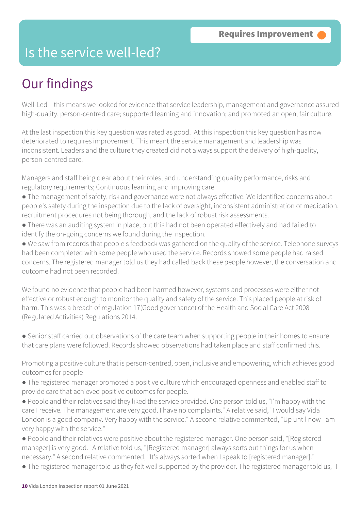## Is the service well-led?

## Our findings

Well-Led – this means we looked for evidence that service leadership, management and governance assured high-quality, person-centred care; supported learning and innovation; and promoted an open, fair culture.

At the last inspection this key question was rated as good. At this inspection this key question has now deteriorated to requires improvement. This meant the service management and leadership was inconsistent. Leaders and the culture they created did not always support the delivery of high-quality, person-centred care.

Managers and staff being clear about their roles, and understanding quality performance, risks and regulatory requirements; Continuous learning and improving care

- The management of safety, risk and governance were not always effective. We identified concerns about people's safety during the inspection due to the lack of oversight, inconsistent administration of medication, recruitment procedures not being thorough, and the lack of robust risk assessments.
- There was an auditing system in place, but this had not been operated effectively and had failed to identify the on-going concerns we found during the inspection.

● We saw from records that people's feedback was gathered on the quality of the service. Telephone surveys had been completed with some people who used the service. Records showed some people had raised concerns. The registered manager told us they had called back these people however, the conversation and outcome had not been recorded.

We found no evidence that people had been harmed however, systems and processes were either not effective or robust enough to monitor the quality and safety of the service. This placed people at risk of harm. This was a breach of regulation 17(Good governance) of the Health and Social Care Act 2008 (Regulated Activities) Regulations 2014.

● Senior staff carried out observations of the care team when supporting people in their homes to ensure that care plans were followed. Records showed observations had taken place and staff confirmed this.

Promoting a positive culture that is person-centred, open, inclusive and empowering, which achieves good outcomes for people

● The registered manager promoted a positive culture which encouraged openness and enabled staff to provide care that achieved positive outcomes for people.

● People and their relatives said they liked the service provided. One person told us, "I'm happy with the care I receive. The management are very good. I have no complaints." A relative said, "I would say Vida London is a good company. Very happy with the service." A second relative commented, "Up until now I am very happy with the service."

● People and their relatives were positive about the registered manager. One person said, "[Registered manager] is very good." A relative told us, "[Registered manager] always sorts out things for us when necessary." A second relative commented, "It's always sorted when I speak to [registered manager]."

● The registered manager told us they felt well supported by the provider. The registered manager told us, "I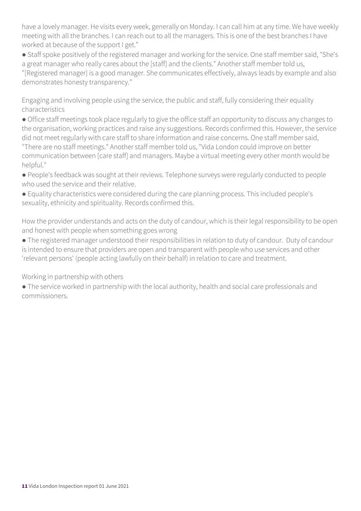have a lovely manager. He visits every week, generally on Monday. I can call him at any time. We have weekly meeting with all the branches. I can reach out to all the managers. This is one of the best branches I have worked at because of the support I get."

● Staff spoke positively of the registered manager and working for the service. One staff member said, "She's a great manager who really cares about the [staff] and the clients." Another staff member told us,

"[Registered manager] is a good manager. She communicates effectively, always leads by example and also demonstrates honesty transparency."

Engaging and involving people using the service, the public and staff, fully considering their equality characteristics

● Office staff meetings took place regularly to give the office staff an opportunity to discuss any changes to the organisation, working practices and raise any suggestions. Records confirmed this. However, the service did not meet regularly with care staff to share information and raise concerns. One staff member said, "There are no staff meetings." Another staff member told us, "Vida London could improve on better communication between [care staff] and managers. Maybe a virtual meeting every other month would be helpful."

- People's feedback was sought at their reviews. Telephone surveys were regularly conducted to people who used the service and their relative.
- Equality characteristics were considered during the care planning process. This included people's sexuality, ethnicity and spirituality. Records confirmed this.

How the provider understands and acts on the duty of candour, which is their legal responsibility to be open and honest with people when something goes wrong

● The registered manager understood their responsibilities in relation to duty of candour. Duty of candour is intended to ensure that providers are open and transparent with people who use services and other 'relevant persons' (people acting lawfully on their behalf) in relation to care and treatment.

Working in partnership with others

● The service worked in partnership with the local authority, health and social care professionals and commissioners.